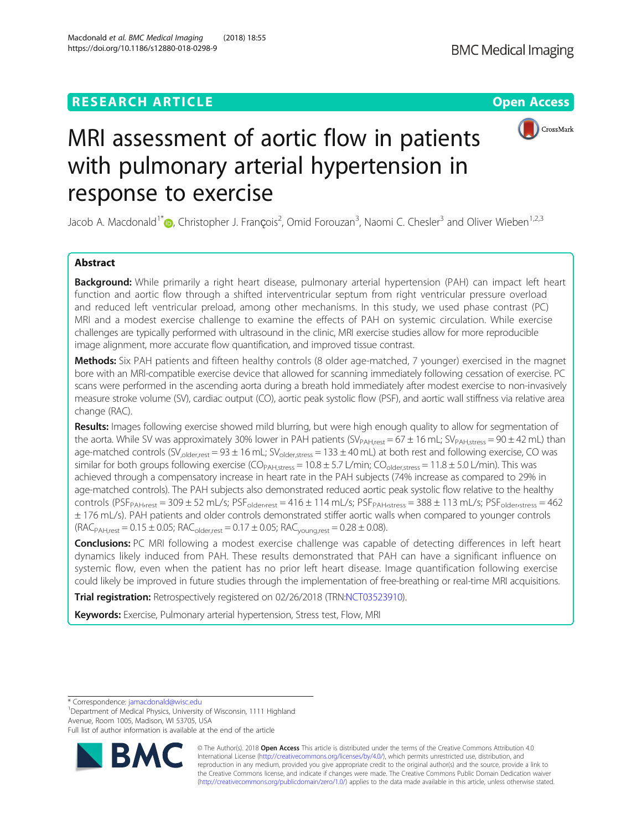# RESEARCH ARTICLE **CONTRACT CONTRACT OPEN ACCESS**



# MRI assessment of aortic flow in patients with pulmonary arterial hypertension in response to exercise

Jacob A. Macdonald<sup>1\*</sup> , Christopher J. François<sup>2</sup>, Omid Forouzan<sup>3</sup>, Naomi C. Chesler<sup>3</sup> and Oliver Wieben<sup>1,2,3</sup>

# Abstract

Background: While primarily a right heart disease, pulmonary arterial hypertension (PAH) can impact left heart function and aortic flow through a shifted interventricular septum from right ventricular pressure overload and reduced left ventricular preload, among other mechanisms. In this study, we used phase contrast (PC) MRI and a modest exercise challenge to examine the effects of PAH on systemic circulation. While exercise challenges are typically performed with ultrasound in the clinic, MRI exercise studies allow for more reproducible image alignment, more accurate flow quantification, and improved tissue contrast.

Methods: Six PAH patients and fifteen healthy controls (8 older age-matched, 7 younger) exercised in the magnet bore with an MRI-compatible exercise device that allowed for scanning immediately following cessation of exercise. PC scans were performed in the ascending aorta during a breath hold immediately after modest exercise to non-invasively measure stroke volume (SV), cardiac output (CO), aortic peak systolic flow (PSF), and aortic wall stiffness via relative area change (RAC).

Results: Images following exercise showed mild blurring, but were high enough quality to allow for segmentation of the aorta. While SV was approximately 30% lower in PAH patients (SV<sub>PAHrest</sub> = 67 ± 16 mL; SV<sub>PAHstress</sub> = 90 ± 42 mL) than age-matched controls (SV<sub>older,rest</sub> = 93  $\pm$  16 mL; SV<sub>older,stress</sub> = 133  $\pm$  40 mL) at both rest and following exercise, CO was similar for both groups following exercise (CO<sub>PAH,stress</sub> = 10.8 ± 5.7 L/min; CO<sub>older,stress</sub> = 11.8 ± 5.0 L/min). This was achieved through a compensatory increase in heart rate in the PAH subjects (74% increase as compared to 29% in age-matched controls). The PAH subjects also demonstrated reduced aortic peak systolic flow relative to the healthy controls (PSF<sub>PAH</sub>,rest = 309 ± 52 mL/s; PSF<sub>older</sub>,rest = 416 ± 114 mL/s; PSF<sub>PAH</sub>,stress = 388 ± 113 mL/s; PSF<sub>older</sub>,stress = 462 ± 176 mL/s). PAH patients and older controls demonstrated stiffer aortic walls when compared to younger controls  $(RAC_{PAH,rest} = 0.15 \pm 0.05; RAC_{older,rest} = 0.17 \pm 0.05; RAC_{young,rest} = 0.28 \pm 0.08).$ 

**Conclusions:** PC MRI following a modest exercise challenge was capable of detecting differences in left heart dynamics likely induced from PAH. These results demonstrated that PAH can have a significant influence on systemic flow, even when the patient has no prior left heart disease. Image quantification following exercise could likely be improved in future studies through the implementation of free-breathing or real-time MRI acquisitions.

**Trial registration:** Retrospectively registered on 02/26/2018 (TRN:NCT03523910).

Keywords: Exercise, Pulmonary arterial hypertension, Stress test, Flow, MRI

\* Correspondence: jamacdonald@wisc.edu <sup>1</sup>

<sup>1</sup>Department of Medical Physics, University of Wisconsin, 1111 Highland Avenue, Room 1005, Madison, WI 53705, USA

Full list of author information is available at the end of the article



© The Author(s). 2018 Open Access This article is distributed under the terms of the Creative Commons Attribution 4.0 International License (http://creativecommons.org/licenses/by/4.0/), which permits unrestricted use, distribution, and reproduction in any medium, provided you give appropriate credit to the original author(s) and the source, provide a link to the Creative Commons license, and indicate if changes were made. The Creative Commons Public Domain Dedication waiver (http://creativecommons.org/publicdomain/zero/1.0/) applies to the data made available in this article, unless otherwise stated.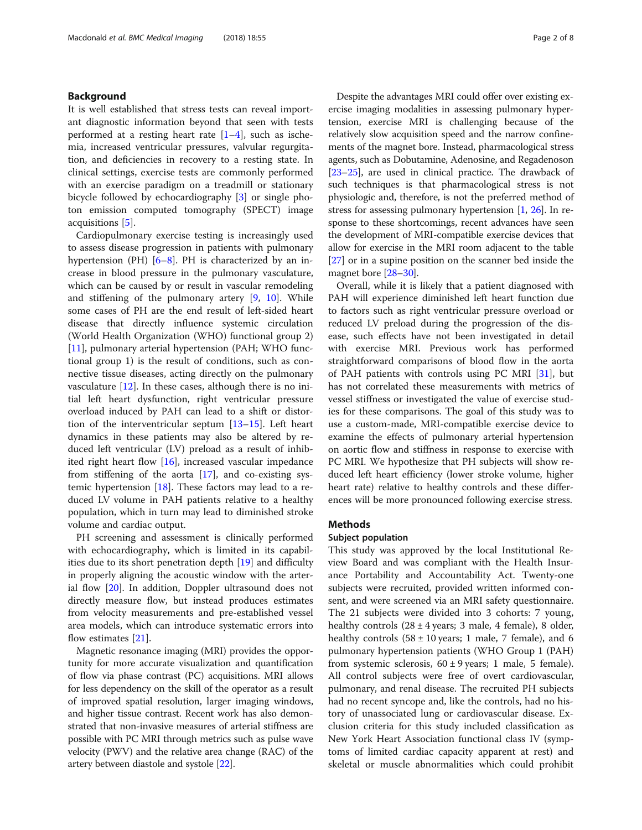# Background

It is well established that stress tests can reveal important diagnostic information beyond that seen with tests performed at a resting heart rate  $[1-4]$ , such as ischemia, increased ventricular pressures, valvular regurgitation, and deficiencies in recovery to a resting state. In clinical settings, exercise tests are commonly performed with an exercise paradigm on a treadmill or stationary bicycle followed by echocardiography [3] or single photon emission computed tomography (SPECT) image acquisitions [5].

Cardiopulmonary exercise testing is increasingly used to assess disease progression in patients with pulmonary hypertension (PH)  $[6-8]$ . PH is characterized by an increase in blood pressure in the pulmonary vasculature, which can be caused by or result in vascular remodeling and stiffening of the pulmonary artery [9, 10]. While some cases of PH are the end result of left-sided heart disease that directly influence systemic circulation (World Health Organization (WHO) functional group 2) [11], pulmonary arterial hypertension (PAH; WHO functional group 1) is the result of conditions, such as connective tissue diseases, acting directly on the pulmonary vasculature [12]. In these cases, although there is no initial left heart dysfunction, right ventricular pressure overload induced by PAH can lead to a shift or distortion of the interventricular septum [13–15]. Left heart dynamics in these patients may also be altered by reduced left ventricular (LV) preload as a result of inhibited right heart flow  $[16]$ , increased vascular impedance from stiffening of the aorta [17], and co-existing systemic hypertension [18]. These factors may lead to a reduced LV volume in PAH patients relative to a healthy population, which in turn may lead to diminished stroke volume and cardiac output.

PH screening and assessment is clinically performed with echocardiography, which is limited in its capabilities due to its short penetration depth [19] and difficulty in properly aligning the acoustic window with the arterial flow [20]. In addition, Doppler ultrasound does not directly measure flow, but instead produces estimates from velocity measurements and pre-established vessel area models, which can introduce systematic errors into flow estimates [21].

Magnetic resonance imaging (MRI) provides the opportunity for more accurate visualization and quantification of flow via phase contrast (PC) acquisitions. MRI allows for less dependency on the skill of the operator as a result of improved spatial resolution, larger imaging windows, and higher tissue contrast. Recent work has also demonstrated that non-invasive measures of arterial stiffness are possible with PC MRI through metrics such as pulse wave velocity (PWV) and the relative area change (RAC) of the artery between diastole and systole [22].

Despite the advantages MRI could offer over existing exercise imaging modalities in assessing pulmonary hypertension, exercise MRI is challenging because of the relatively slow acquisition speed and the narrow confinements of the magnet bore. Instead, pharmacological stress agents, such as Dobutamine, Adenosine, and Regadenoson [23–25], are used in clinical practice. The drawback of such techniques is that pharmacological stress is not physiologic and, therefore, is not the preferred method of stress for assessing pulmonary hypertension [1, 26]. In response to these shortcomings, recent advances have seen the development of MRI-compatible exercise devices that allow for exercise in the MRI room adjacent to the table [27] or in a supine position on the scanner bed inside the magnet bore [28–30].

Overall, while it is likely that a patient diagnosed with PAH will experience diminished left heart function due to factors such as right ventricular pressure overload or reduced LV preload during the progression of the disease, such effects have not been investigated in detail with exercise MRI. Previous work has performed straightforward comparisons of blood flow in the aorta of PAH patients with controls using PC MRI [31], but has not correlated these measurements with metrics of vessel stiffness or investigated the value of exercise studies for these comparisons. The goal of this study was to use a custom-made, MRI-compatible exercise device to examine the effects of pulmonary arterial hypertension on aortic flow and stiffness in response to exercise with PC MRI. We hypothesize that PH subjects will show reduced left heart efficiency (lower stroke volume, higher heart rate) relative to healthy controls and these differences will be more pronounced following exercise stress.

# Methods

# Subject population

This study was approved by the local Institutional Review Board and was compliant with the Health Insurance Portability and Accountability Act. Twenty-one subjects were recruited, provided written informed consent, and were screened via an MRI safety questionnaire. The 21 subjects were divided into 3 cohorts: 7 young, healthy controls  $(28 \pm 4 \text{ years}; 3 \text{ male}, 4 \text{ female})$ , 8 older, healthy controls  $(58 \pm 10 \text{ years}; 1 \text{ male}, 7 \text{ female})$ , and 6 pulmonary hypertension patients (WHO Group 1 (PAH) from systemic sclerosis,  $60 \pm 9$  years; 1 male, 5 female). All control subjects were free of overt cardiovascular, pulmonary, and renal disease. The recruited PH subjects had no recent syncope and, like the controls, had no history of unassociated lung or cardiovascular disease. Exclusion criteria for this study included classification as New York Heart Association functional class IV (symptoms of limited cardiac capacity apparent at rest) and skeletal or muscle abnormalities which could prohibit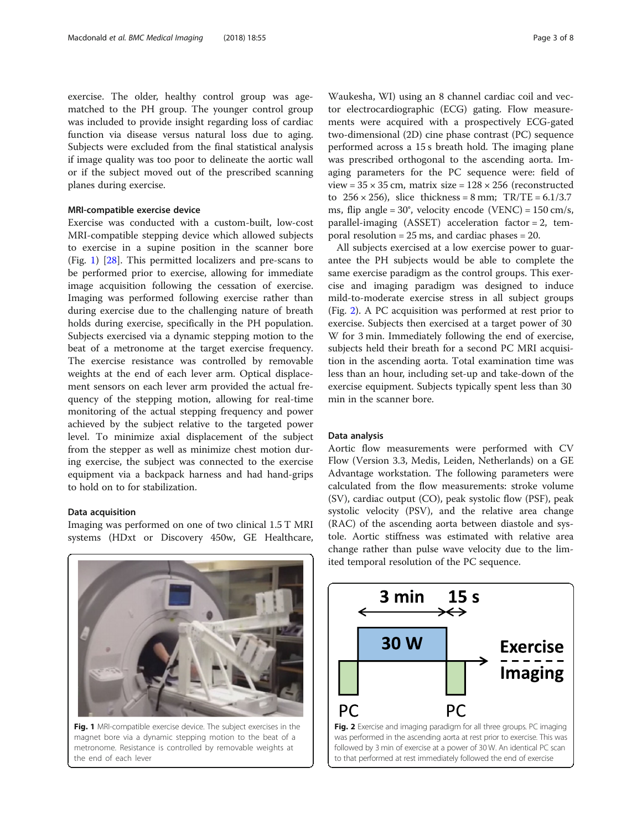exercise. The older, healthy control group was agematched to the PH group. The younger control group was included to provide insight regarding loss of cardiac function via disease versus natural loss due to aging. Subjects were excluded from the final statistical analysis if image quality was too poor to delineate the aortic wall or if the subject moved out of the prescribed scanning planes during exercise.

# MRI-compatible exercise device

Exercise was conducted with a custom-built, low-cost MRI-compatible stepping device which allowed subjects to exercise in a supine position in the scanner bore (Fig. 1) [28]. This permitted localizers and pre-scans to be performed prior to exercise, allowing for immediate image acquisition following the cessation of exercise. Imaging was performed following exercise rather than during exercise due to the challenging nature of breath holds during exercise, specifically in the PH population. Subjects exercised via a dynamic stepping motion to the beat of a metronome at the target exercise frequency. The exercise resistance was controlled by removable weights at the end of each lever arm. Optical displacement sensors on each lever arm provided the actual frequency of the stepping motion, allowing for real-time monitoring of the actual stepping frequency and power achieved by the subject relative to the targeted power level. To minimize axial displacement of the subject from the stepper as well as minimize chest motion during exercise, the subject was connected to the exercise equipment via a backpack harness and had hand-grips to hold on to for stabilization.

# Data acquisition

Imaging was performed on one of two clinical 1.5 T MRI systems (HDxt or Discovery 450w, GE Healthcare,



Waukesha, WI) using an 8 channel cardiac coil and vector electrocardiographic (ECG) gating. Flow measurements were acquired with a prospectively ECG-gated two-dimensional (2D) cine phase contrast (PC) sequence performed across a 15 s breath hold. The imaging plane was prescribed orthogonal to the ascending aorta. Imaging parameters for the PC sequence were: field of view =  $35 \times 35$  cm, matrix size =  $128 \times 256$  (reconstructed to  $256 \times 256$ , slice thickness = 8 mm; TR/TE =  $6.1/3.7$ ms, flip angle =  $30^{\circ}$ , velocity encode (VENC) =  $150 \text{ cm/s}$ , parallel-imaging (ASSET) acceleration factor = 2, temporal resolution = 25 ms, and cardiac phases = 20.

All subjects exercised at a low exercise power to guarantee the PH subjects would be able to complete the same exercise paradigm as the control groups. This exercise and imaging paradigm was designed to induce mild-to-moderate exercise stress in all subject groups (Fig. 2). A PC acquisition was performed at rest prior to exercise. Subjects then exercised at a target power of 30 W for 3 min. Immediately following the end of exercise, subjects held their breath for a second PC MRI acquisition in the ascending aorta. Total examination time was less than an hour, including set-up and take-down of the exercise equipment. Subjects typically spent less than 30 min in the scanner bore.

# Data analysis

Aortic flow measurements were performed with CV Flow (Version 3.3, Medis, Leiden, Netherlands) on a GE Advantage workstation. The following parameters were calculated from the flow measurements: stroke volume (SV), cardiac output (CO), peak systolic flow (PSF), peak systolic velocity (PSV), and the relative area change (RAC) of the ascending aorta between diastole and systole. Aortic stiffness was estimated with relative area change rather than pulse wave velocity due to the limited temporal resolution of the PC sequence.

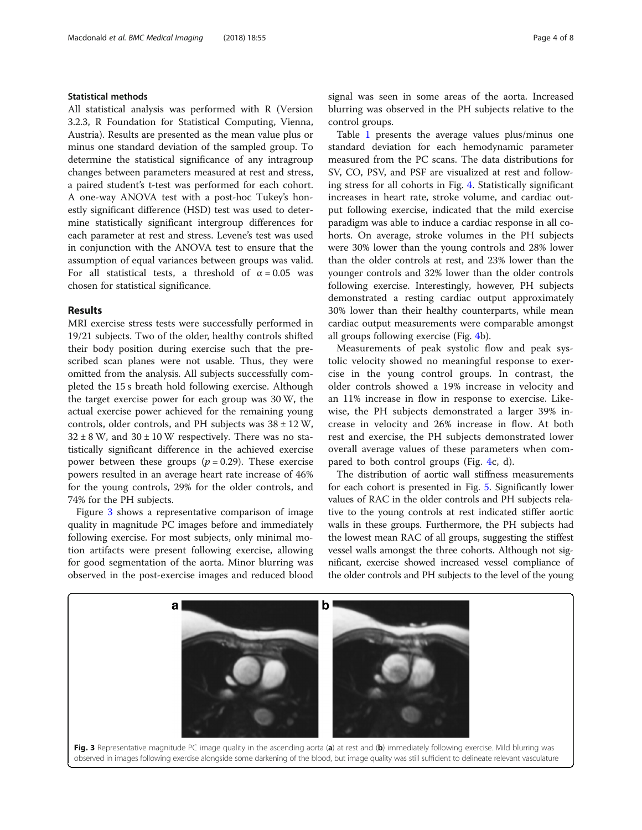# Statistical methods

All statistical analysis was performed with R (Version 3.2.3, R Foundation for Statistical Computing, Vienna, Austria). Results are presented as the mean value plus or minus one standard deviation of the sampled group. To determine the statistical significance of any intragroup changes between parameters measured at rest and stress, a paired student's t-test was performed for each cohort. A one-way ANOVA test with a post-hoc Tukey's honestly significant difference (HSD) test was used to determine statistically significant intergroup differences for each parameter at rest and stress. Levene's test was used in conjunction with the ANOVA test to ensure that the assumption of equal variances between groups was valid. For all statistical tests, a threshold of  $\alpha = 0.05$  was chosen for statistical significance.

# Results

MRI exercise stress tests were successfully performed in 19/21 subjects. Two of the older, healthy controls shifted their body position during exercise such that the prescribed scan planes were not usable. Thus, they were omitted from the analysis. All subjects successfully completed the 15 s breath hold following exercise. Although the target exercise power for each group was 30 W, the actual exercise power achieved for the remaining young controls, older controls, and PH subjects was  $38 \pm 12$  W,  $32 \pm 8$  W, and  $30 \pm 10$  W respectively. There was no statistically significant difference in the achieved exercise power between these groups ( $p = 0.29$ ). These exercise powers resulted in an average heart rate increase of 46% for the young controls, 29% for the older controls, and 74% for the PH subjects.

Figure 3 shows a representative comparison of image quality in magnitude PC images before and immediately following exercise. For most subjects, only minimal motion artifacts were present following exercise, allowing for good segmentation of the aorta. Minor blurring was observed in the post-exercise images and reduced blood

signal was seen in some areas of the aorta. Increased blurring was observed in the PH subjects relative to the control groups.

Table 1 presents the average values plus/minus one standard deviation for each hemodynamic parameter measured from the PC scans. The data distributions for SV, CO, PSV, and PSF are visualized at rest and following stress for all cohorts in Fig. 4. Statistically significant increases in heart rate, stroke volume, and cardiac output following exercise, indicated that the mild exercise paradigm was able to induce a cardiac response in all cohorts. On average, stroke volumes in the PH subjects were 30% lower than the young controls and 28% lower than the older controls at rest, and 23% lower than the younger controls and 32% lower than the older controls following exercise. Interestingly, however, PH subjects demonstrated a resting cardiac output approximately 30% lower than their healthy counterparts, while mean cardiac output measurements were comparable amongst all groups following exercise (Fig. 4b).

Measurements of peak systolic flow and peak systolic velocity showed no meaningful response to exercise in the young control groups. In contrast, the older controls showed a 19% increase in velocity and an 11% increase in flow in response to exercise. Likewise, the PH subjects demonstrated a larger 39% increase in velocity and 26% increase in flow. At both rest and exercise, the PH subjects demonstrated lower overall average values of these parameters when compared to both control groups (Fig. 4c, d).

The distribution of aortic wall stiffness measurements for each cohort is presented in Fig. 5. Significantly lower values of RAC in the older controls and PH subjects relative to the young controls at rest indicated stiffer aortic walls in these groups. Furthermore, the PH subjects had the lowest mean RAC of all groups, suggesting the stiffest vessel walls amongst the three cohorts. Although not significant, exercise showed increased vessel compliance of the older controls and PH subjects to the level of the young

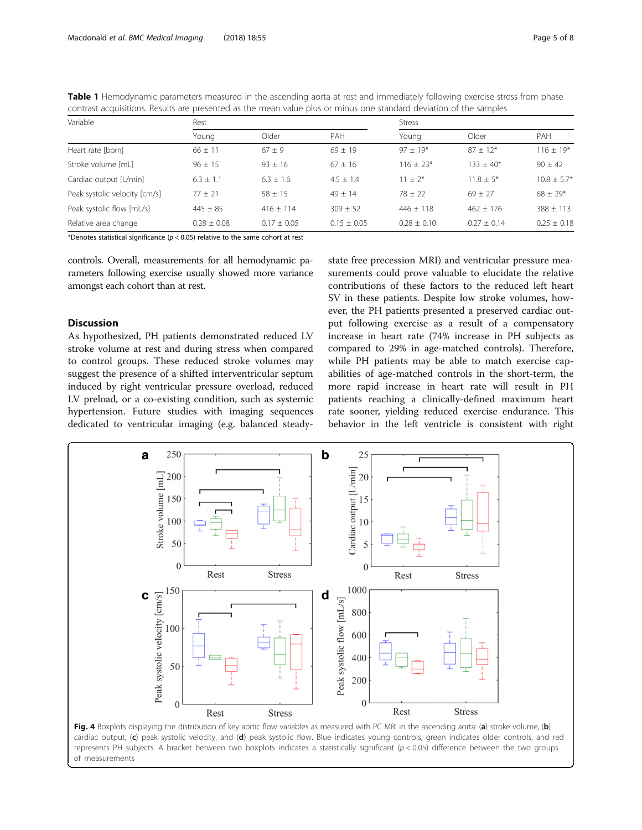| Variable                      | Rest          |                 |                 | <b>Stress</b> |               |                 |
|-------------------------------|---------------|-----------------|-----------------|---------------|---------------|-----------------|
|                               | Young         | Older           | PAH             | Young         | Older         | PAH             |
| Heart rate [bpm]              | $66 \pm 11$   | $67 \pm 9$      | $69 + 19$       | $97 + 19*$    | $87 + 12*$    | $116 \pm 19*$   |
| Stroke volume [mL]            | $96 + 15$     | $93 + 16$       | $67 + 16$       | $116 + 23*$   | $133 + 40*$   | $90 + 42$       |
| Cardiac output [L/min]        | $6.3 \pm 1.1$ | $6.3 + 1.6$     | $4.5 + 1.4$     | $11 + 2^*$    | $11.8 + 5*$   | $10.8 \pm 5.7*$ |
| Peak systolic velocity [cm/s] | $77 + 21$     | $58 \pm 15$     | $49 + 14$       | $78 + 22$     | $69 + 27$     | $68 + 29*$      |
| Peak systolic flow [mL/s]     | $445 \pm 85$  | $416 + 114$     | $309 + 52$      | $446 + 118$   | $462 + 176$   | $388 + 113$     |
| Relative area change          | $0.28 + 0.08$ | $0.17 \pm 0.05$ | $0.15 \pm 0.05$ | $0.28 + 0.10$ | $0.27 + 0.14$ | $0.25 + 0.18$   |

Table 1 Hemodynamic parameters measured in the ascending aorta at rest and immediately following exercise stress from phase contrast acquisitions. Results are presented as the mean value plus or minus one standard deviation of the samples

\*Denotes statistical significance ( $p < 0.05$ ) relative to the same cohort at rest

controls. Overall, measurements for all hemodynamic parameters following exercise usually showed more variance amongst each cohort than at rest.

# **Discussion**

As hypothesized, PH patients demonstrated reduced LV stroke volume at rest and during stress when compared to control groups. These reduced stroke volumes may suggest the presence of a shifted interventricular septum induced by right ventricular pressure overload, reduced LV preload, or a co-existing condition, such as systemic hypertension. Future studies with imaging sequences dedicated to ventricular imaging (e.g. balanced steadystate free precession MRI) and ventricular pressure measurements could prove valuable to elucidate the relative contributions of these factors to the reduced left heart SV in these patients. Despite low stroke volumes, however, the PH patients presented a preserved cardiac output following exercise as a result of a compensatory increase in heart rate (74% increase in PH subjects as compared to 29% in age-matched controls). Therefore, while PH patients may be able to match exercise capabilities of age-matched controls in the short-term, the more rapid increase in heart rate will result in PH patients reaching a clinically-defined maximum heart rate sooner, yielding reduced exercise endurance. This behavior in the left ventricle is consistent with right



of measurements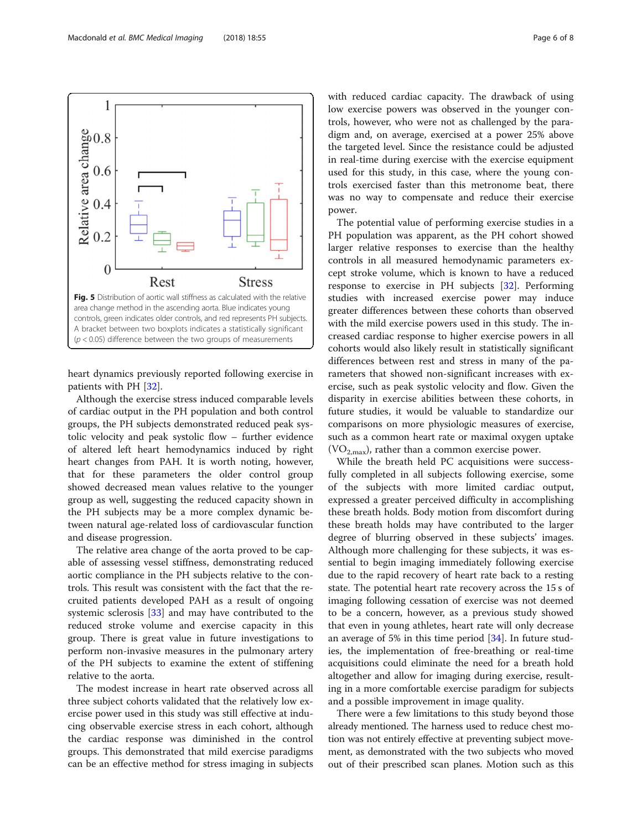heart dynamics previously reported following exercise in patients with PH [32].

Although the exercise stress induced comparable levels of cardiac output in the PH population and both control groups, the PH subjects demonstrated reduced peak systolic velocity and peak systolic flow – further evidence of altered left heart hemodynamics induced by right heart changes from PAH. It is worth noting, however, that for these parameters the older control group showed decreased mean values relative to the younger group as well, suggesting the reduced capacity shown in the PH subjects may be a more complex dynamic between natural age-related loss of cardiovascular function and disease progression.

The relative area change of the aorta proved to be capable of assessing vessel stiffness, demonstrating reduced aortic compliance in the PH subjects relative to the controls. This result was consistent with the fact that the recruited patients developed PAH as a result of ongoing systemic sclerosis [33] and may have contributed to the reduced stroke volume and exercise capacity in this group. There is great value in future investigations to perform non-invasive measures in the pulmonary artery of the PH subjects to examine the extent of stiffening relative to the aorta.

The modest increase in heart rate observed across all three subject cohorts validated that the relatively low exercise power used in this study was still effective at inducing observable exercise stress in each cohort, although the cardiac response was diminished in the control groups. This demonstrated that mild exercise paradigms can be an effective method for stress imaging in subjects with reduced cardiac capacity. The drawback of using low exercise powers was observed in the younger controls, however, who were not as challenged by the paradigm and, on average, exercised at a power 25% above the targeted level. Since the resistance could be adjusted in real-time during exercise with the exercise equipment used for this study, in this case, where the young controls exercised faster than this metronome beat, there was no way to compensate and reduce their exercise power.

The potential value of performing exercise studies in a PH population was apparent, as the PH cohort showed larger relative responses to exercise than the healthy controls in all measured hemodynamic parameters except stroke volume, which is known to have a reduced response to exercise in PH subjects [32]. Performing studies with increased exercise power may induce greater differences between these cohorts than observed with the mild exercise powers used in this study. The increased cardiac response to higher exercise powers in all cohorts would also likely result in statistically significant differences between rest and stress in many of the parameters that showed non-significant increases with exercise, such as peak systolic velocity and flow. Given the disparity in exercise abilities between these cohorts, in future studies, it would be valuable to standardize our comparisons on more physiologic measures of exercise, such as a common heart rate or maximal oxygen uptake  $(VO<sub>2,max</sub>)$ , rather than a common exercise power.

While the breath held PC acquisitions were successfully completed in all subjects following exercise, some of the subjects with more limited cardiac output, expressed a greater perceived difficulty in accomplishing these breath holds. Body motion from discomfort during these breath holds may have contributed to the larger degree of blurring observed in these subjects' images. Although more challenging for these subjects, it was essential to begin imaging immediately following exercise due to the rapid recovery of heart rate back to a resting state. The potential heart rate recovery across the 15 s of imaging following cessation of exercise was not deemed to be a concern, however, as a previous study showed that even in young athletes, heart rate will only decrease an average of 5% in this time period [34]. In future studies, the implementation of free-breathing or real-time acquisitions could eliminate the need for a breath hold altogether and allow for imaging during exercise, resulting in a more comfortable exercise paradigm for subjects and a possible improvement in image quality.

There were a few limitations to this study beyond those already mentioned. The harness used to reduce chest motion was not entirely effective at preventing subject movement, as demonstrated with the two subjects who moved out of their prescribed scan planes. Motion such as this

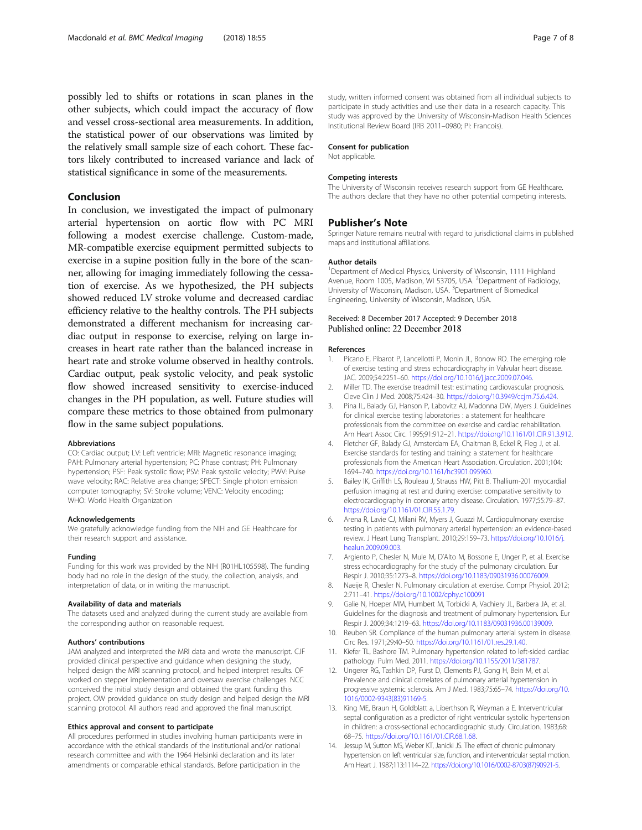possibly led to shifts or rotations in scan planes in the other subjects, which could impact the accuracy of flow and vessel cross-sectional area measurements. In addition, the statistical power of our observations was limited by the relatively small sample size of each cohort. These factors likely contributed to increased variance and lack of statistical significance in some of the measurements.

# Conclusion

In conclusion, we investigated the impact of pulmonary arterial hypertension on aortic flow with PC MRI following a modest exercise challenge. Custom-made, MR-compatible exercise equipment permitted subjects to exercise in a supine position fully in the bore of the scanner, allowing for imaging immediately following the cessation of exercise. As we hypothesized, the PH subjects showed reduced LV stroke volume and decreased cardiac efficiency relative to the healthy controls. The PH subjects demonstrated a different mechanism for increasing cardiac output in response to exercise, relying on large increases in heart rate rather than the balanced increase in heart rate and stroke volume observed in healthy controls. Cardiac output, peak systolic velocity, and peak systolic flow showed increased sensitivity to exercise-induced changes in the PH population, as well. Future studies will compare these metrics to those obtained from pulmonary flow in the same subject populations.

#### Abbreviations

CO: Cardiac output; LV: Left ventricle; MRI: Magnetic resonance imaging; PAH: Pulmonary arterial hypertension; PC: Phase contrast; PH: Pulmonary hypertension; PSF: Peak systolic flow; PSV: Peak systolic velocity; PWV: Pulse wave velocity; RAC: Relative area change; SPECT: Single photon emission computer tomography; SV: Stroke volume; VENC: Velocity encoding; WHO: World Health Organization

#### Acknowledgements

We gratefully acknowledge funding from the NIH and GE Healthcare for their research support and assistance.

#### Funding

Funding for this work was provided by the NIH (R01HL105598). The funding body had no role in the design of the study, the collection, analysis, and interpretation of data, or in writing the manuscript.

#### Availability of data and materials

The datasets used and analyzed during the current study are available from the corresponding author on reasonable request.

#### Authors' contributions

JAM analyzed and interpreted the MRI data and wrote the manuscript. CJF provided clinical perspective and guidance when designing the study, helped design the MRI scanning protocol, and helped interpret results. OF worked on stepper implementation and oversaw exercise challenges. NCC conceived the initial study design and obtained the grant funding this project. OW provided guidance on study design and helped design the MRI scanning protocol. All authors read and approved the final manuscript.

## Ethics approval and consent to participate

All procedures performed in studies involving human participants were in accordance with the ethical standards of the institutional and/or national research committee and with the 1964 Helsinki declaration and its later amendments or comparable ethical standards. Before participation in the

study, written informed consent was obtained from all individual subjects to participate in study activities and use their data in a research capacity. This study was approved by the University of Wisconsin-Madison Health Sciences Institutional Review Board (IRB 2011–0980; PI: Francois).

#### Consent for publication

Not applicable.

## Competing interests

The University of Wisconsin receives research support from GE Healthcare. The authors declare that they have no other potential competing interests.

#### Publisher's Note

Springer Nature remains neutral with regard to jurisdictional claims in published maps and institutional affiliations.

#### Author details

<sup>1</sup>Department of Medical Physics, University of Wisconsin, 1111 Highland Avenue, Room 1005, Madison, WI 53705, USA. <sup>2</sup>Department of Radiology, University of Wisconsin, Madison, USA. <sup>3</sup>Department of Biomedical Engineering, University of Wisconsin, Madison, USA.

# Received: 8 December 2017 Accepted: 9 December 2018 Published online: 22 December 2018

#### References

- 1. Picano E, Pibarot P, Lancellotti P, Monin JL, Bonow RO. The emerging role of exercise testing and stress echocardiography in Valvular heart disease. JAC. 2009;54:2251–60. https://doi.org/10.1016/j.jacc.2009.07.046.
- 2. Miller TD. The exercise treadmill test: estimating cardiovascular prognosis. Cleve Clin J Med. 2008;75:424–30. https://doi.org/10.3949/ccjm.75.6.424.
- 3. Pina IL, Balady GJ, Hanson P, Labovitz AJ, Madonna DW, Myers J. Guidelines for clinical exercise testing laboratories : a statement for healthcare professionals from the committee on exercise and cardiac rehabilitation. Am Heart Assoc Circ. 1995;91:912–21. https://doi.org/10.1161/01.CIR.91.3.912.
- 4. Fletcher GF, Balady GJ, Amsterdam EA, Chaitman B, Eckel R, Fleg J, et al. Exercise standards for testing and training: a statement for healthcare professionals from the American Heart Association. Circulation. 2001;104: 1694–740. https://doi.org/10.1161/hc3901.095960.
- 5. Bailey IK, Griffith LS, Rouleau J, Strauss HW, Pitt B. Thallium-201 myocardial perfusion imaging at rest and during exercise: comparative sensitivity to electrocardiography in coronary artery disease. Circulation. 1977;55:79–87. https://doi.org/10.1161/01.CIR.55.1.79.
- 6. Arena R, Lavie CJ, Milani RV, Myers J, Guazzi M. Cardiopulmonary exercise testing in patients with pulmonary arterial hypertension: an evidence-based review. J Heart Lung Transplant. 2010;29:159–73. https://doi.org/10.1016/j. healun.2009.09.003.
- 7. Argiento P, Chesler N, Mule M, D'Alto M, Bossone E, Unger P, et al. Exercise stress echocardiography for the study of the pulmonary circulation. Eur Respir J. 2010;35:1273–8. https://doi.org/10.1183/09031936.00076009.
- 8. Naeije R, Chesler N. Pulmonary circulation at exercise. Compr Physiol. 2012; 2:711–41. https://doi.org/10.1002/cphy.c100091
- 9. Galie N, Hoeper MM, Humbert M, Torbicki A, Vachiery JL, Barbera JA, et al. Guidelines for the diagnosis and treatment of pulmonary hypertension. Eur Respir J. 2009;34:1219–63. https://doi.org/10.1183/09031936.00139009.
- 10. Reuben SR. Compliance of the human pulmonary arterial system in disease. Circ Res. 1971;29:40–50. https://doi.org/10.1161/01.res.29.1.40.
- 11. Kiefer TL, Bashore TM. Pulmonary hypertension related to left-sided cardiac pathology. Pulm Med. 2011. https://doi.org/10.1155/2011/381787.
- 12. Ungerer RG, Tashkin DP, Furst D, Clements PJ, Gong H, Bein M, et al. Prevalence and clinical correlates of pulmonary arterial hypertension in progressive systemic sclerosis. Am J Med. 1983;75:65–74. https://doi.org/10. 1016/0002-9343(83)91169-5.
- 13. King ME, Braun H, Goldblatt a, Liberthson R, Weyman a E. Interventricular septal configuration as a predictor of right ventricular systolic hypertension in children: a cross-sectional echocardiographic study. Circulation. 1983;68: 68–75. https://doi.org/10.1161/01.CIR.68.1.68.
- 14. Jessup M, Sutton MS, Weber KT, Janicki JS. The effect of chronic pulmonary hypertension on left ventricular size, function, and interventricular septal motion. Am Heart J. 1987;113:1114–22. https://doi.org/10.1016/0002-8703(87)90921-5.